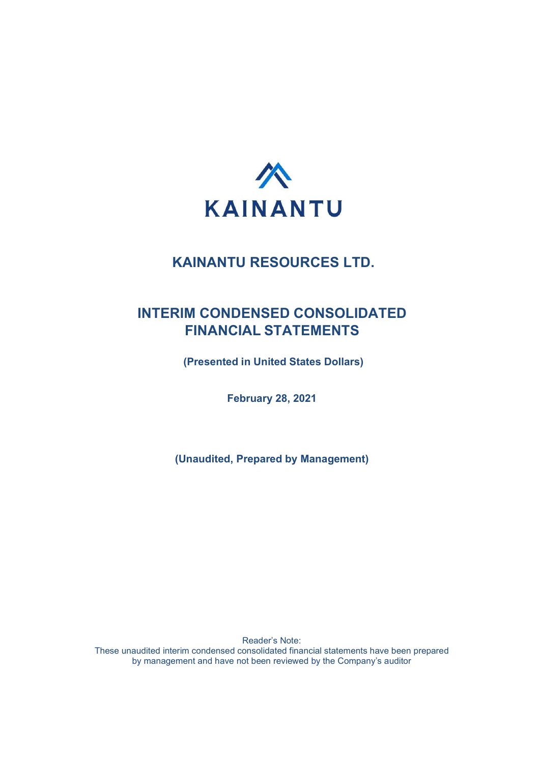

## INTERIM CONDENSED CONSOLIDATED FINANCIAL STATEMENTS

(Presented in United States Dollars)

February 28, 2021

(Unaudited, Prepared by Management)

Reader's Note: These unaudited interim condensed consolidated financial statements have been prepared by management and have not been reviewed by the Company's auditor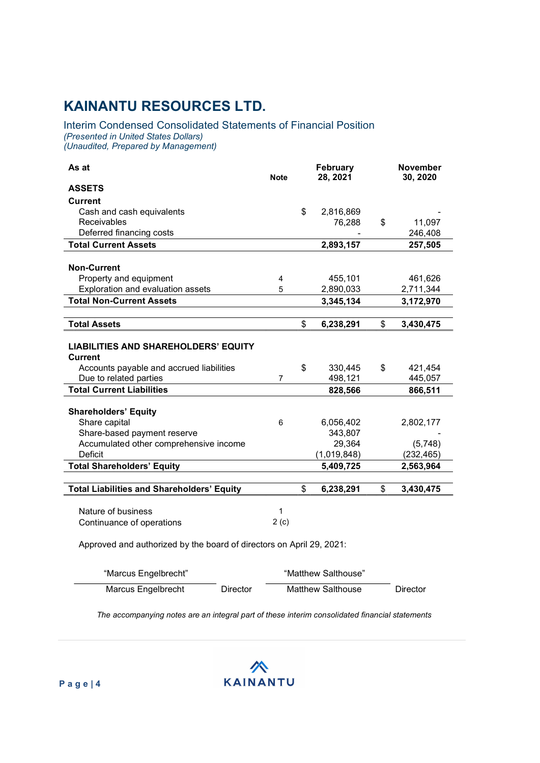### Interim Condensed Consolidated Statements of Financial Position (Presented in United States Dollars) (Unaudited, Prepared by Management)

| As at                                                                | <b>Note</b>    | February<br>28, 2021 |             | <b>November</b><br>30, 2020 |
|----------------------------------------------------------------------|----------------|----------------------|-------------|-----------------------------|
| <b>ASSETS</b>                                                        |                |                      |             |                             |
| <b>Current</b>                                                       |                |                      |             |                             |
| Cash and cash equivalents                                            |                | \$                   | 2,816,869   |                             |
| Receivables                                                          |                |                      | 76,288      | \$<br>11,097                |
| Deferred financing costs                                             |                |                      |             | 246,408                     |
| <b>Total Current Assets</b>                                          |                |                      | 2,893,157   | 257,505                     |
|                                                                      |                |                      |             |                             |
| <b>Non-Current</b>                                                   |                |                      |             |                             |
| Property and equipment                                               | 4              |                      | 455,101     | 461,626                     |
| Exploration and evaluation assets                                    | 5              |                      | 2,890,033   | 2,711,344                   |
| <b>Total Non-Current Assets</b>                                      |                |                      | 3,345,134   | 3,172,970                   |
|                                                                      |                |                      |             |                             |
| <b>Total Assets</b>                                                  |                | \$                   | 6,238,291   | \$<br>3,430,475             |
|                                                                      |                |                      |             |                             |
| <b>LIABILITIES AND SHAREHOLDERS' EQUITY</b>                          |                |                      |             |                             |
| <b>Current</b>                                                       |                |                      |             |                             |
| Accounts payable and accrued liabilities                             |                | \$                   | 330,445     | \$<br>421,454               |
| Due to related parties                                               | $\overline{7}$ |                      | 498,121     | 445,057                     |
| <b>Total Current Liabilities</b>                                     |                |                      | 828,566     | 866,511                     |
|                                                                      |                |                      |             |                             |
| <b>Shareholders' Equity</b>                                          |                |                      |             |                             |
| Share capital                                                        | 6              |                      | 6,056,402   | 2,802,177                   |
| Share-based payment reserve                                          |                |                      | 343,807     |                             |
| Accumulated other comprehensive income                               |                |                      | 29,364      | (5,748)                     |
| Deficit                                                              |                |                      | (1,019,848) | (232, 465)                  |
| <b>Total Shareholders' Equity</b>                                    |                |                      | 5,409,725   | 2,563,964                   |
|                                                                      |                |                      |             |                             |
| <b>Total Liabilities and Shareholders' Equity</b>                    |                | \$                   | 6,238,291   | \$<br>3,430,475             |
|                                                                      |                |                      |             |                             |
| Nature of business                                                   | 1              |                      |             |                             |
| Continuance of operations                                            | 2(c)           |                      |             |                             |
| Approved and authorized by the board of directors on April 29, 2021: |                |                      |             |                             |

| "Marcus Engelbrecht" |          | "Matthew Salthouse" |          |
|----------------------|----------|---------------------|----------|
| Marcus Engelbrecht   | Director | Matthew Salthouse   | Director |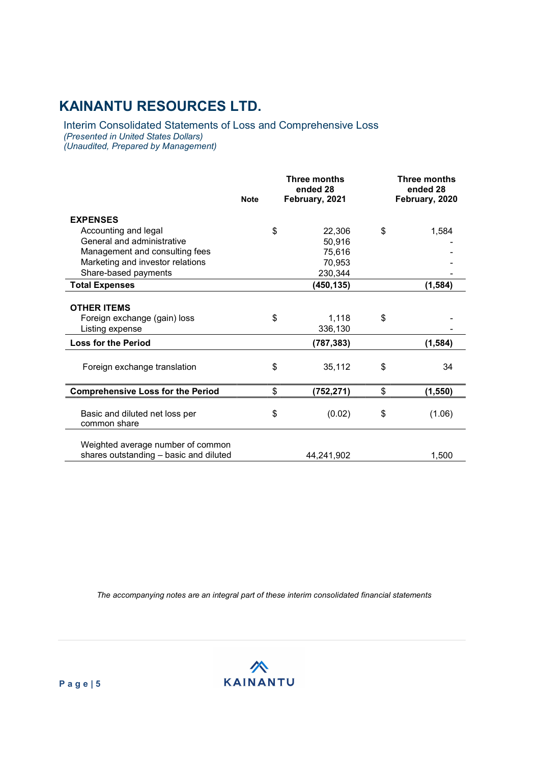Interim Consolidated Statements of Loss and Comprehensive Loss (Presented in United States Dollars) (Unaudited, Prepared by Management)

|                                                | <b>Note</b> | Three months<br>ended 28<br>February, 2021 | Three months<br>ended 28<br>February, 2020 |
|------------------------------------------------|-------------|--------------------------------------------|--------------------------------------------|
| <b>EXPENSES</b>                                |             |                                            |                                            |
| Accounting and legal                           |             | \$<br>22,306                               | \$<br>1,584                                |
| General and administrative                     |             | 50,916                                     |                                            |
| Management and consulting fees                 |             | 75,616                                     |                                            |
| Marketing and investor relations               |             | 70,953                                     |                                            |
| Share-based payments                           |             | 230,344                                    |                                            |
| <b>Total Expenses</b>                          |             | (450, 135)                                 | (1,584)                                    |
|                                                |             |                                            |                                            |
| <b>OTHER ITEMS</b>                             |             |                                            |                                            |
| Foreign exchange (gain) loss                   |             | \$<br>1,118                                | \$                                         |
| Listing expense                                |             | 336,130                                    |                                            |
| <b>Loss for the Period</b>                     |             | (787, 383)                                 | (1,584)                                    |
|                                                |             |                                            |                                            |
| Foreign exchange translation                   |             | \$<br>35,112                               | \$<br>34                                   |
| <b>Comprehensive Loss for the Period</b>       |             | \$<br>(752, 271)                           | \$<br>(1, 550)                             |
|                                                |             |                                            |                                            |
| Basic and diluted net loss per<br>common share |             | \$<br>(0.02)                               | \$<br>(1.06)                               |
|                                                |             |                                            |                                            |
| Weighted average number of common              |             |                                            |                                            |
| shares outstanding - basic and diluted         |             | 44,241,902                                 | 1,500                                      |

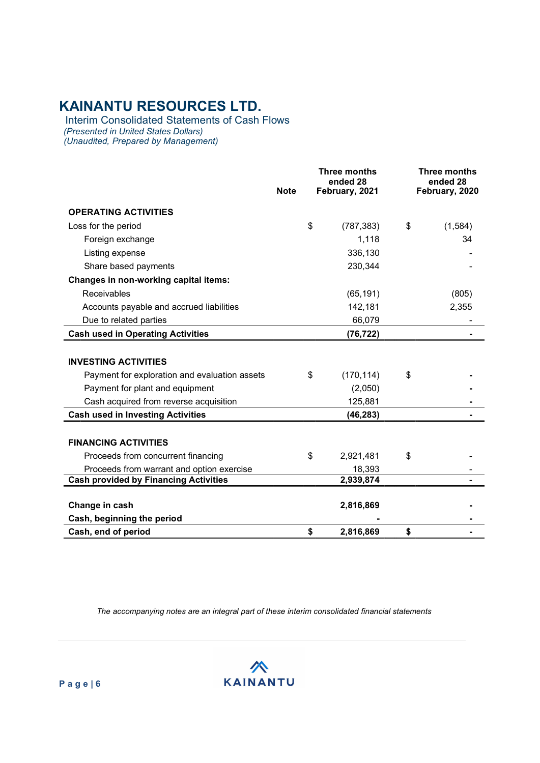Interim Consolidated Statements of Cash Flows (Presented in United States Dollars) (Unaudited, Prepared by Management)

|                                               | <b>Note</b> | Three months<br>ended 28<br>February, 2021 | <b>Three months</b><br>ended 28<br>February, 2020 |
|-----------------------------------------------|-------------|--------------------------------------------|---------------------------------------------------|
| <b>OPERATING ACTIVITIES</b>                   |             |                                            |                                                   |
| Loss for the period                           |             | \$<br>(787, 383)                           | \$<br>(1,584)                                     |
| Foreign exchange                              |             | 1,118                                      | 34                                                |
| Listing expense                               |             | 336,130                                    |                                                   |
| Share based payments                          |             | 230,344                                    |                                                   |
| Changes in non-working capital items:         |             |                                            |                                                   |
| Receivables                                   |             | (65, 191)                                  | (805)                                             |
| Accounts payable and accrued liabilities      |             | 142,181                                    | 2,355                                             |
| Due to related parties                        |             | 66,079                                     |                                                   |
| <b>Cash used in Operating Activities</b>      |             | (76, 722)                                  |                                                   |
| <b>INVESTING ACTIVITIES</b>                   |             |                                            |                                                   |
| Payment for exploration and evaluation assets |             | \$<br>(170, 114)                           | \$                                                |
| Payment for plant and equipment               |             | (2,050)                                    |                                                   |
| Cash acquired from reverse acquisition        |             | 125,881                                    |                                                   |
| <b>Cash used in Investing Activities</b>      |             | (46, 283)                                  |                                                   |
| <b>FINANCING ACTIVITIES</b>                   |             |                                            |                                                   |
| Proceeds from concurrent financing            |             | \$<br>2,921,481                            | \$                                                |
| Proceeds from warrant and option exercise     |             | 18,393                                     |                                                   |
| <b>Cash provided by Financing Activities</b>  |             | 2,939,874                                  |                                                   |
| Change in cash                                |             | 2,816,869                                  |                                                   |
| Cash, beginning the period                    |             |                                            |                                                   |
| Cash, end of period                           |             | \$<br>2,816,869                            | \$                                                |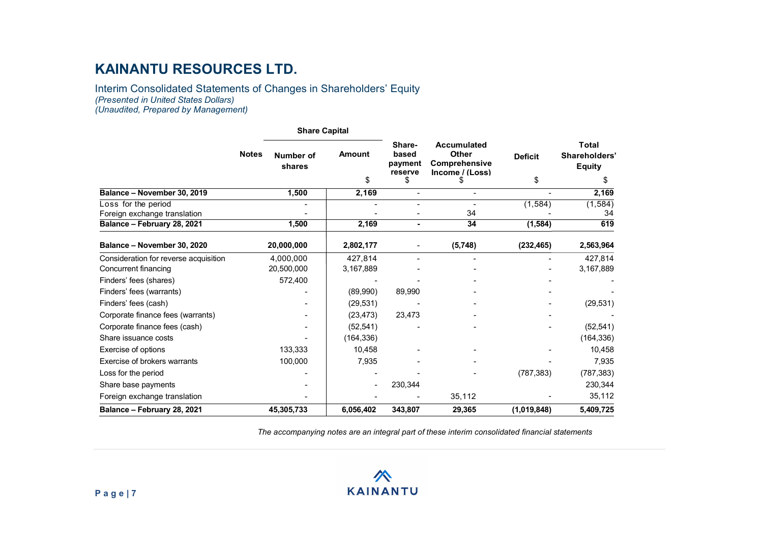Interim Consolidated Statements of Changes in Shareholders' Equity (Presented in United States Dollars) (Unaudited, Prepared by Management)

|                                                               |              | <b>Share Capital</b>    |                      |                                             |                                                                              |                      |                                                      |
|---------------------------------------------------------------|--------------|-------------------------|----------------------|---------------------------------------------|------------------------------------------------------------------------------|----------------------|------------------------------------------------------|
|                                                               | <b>Notes</b> | Number of<br>shares     | <b>Amount</b><br>\$  | Share-<br>based<br>payment<br>reserve<br>\$ | <b>Accumulated</b><br><b>Other</b><br>Comprehensive<br>Income / (Loss)<br>S. | <b>Deficit</b><br>\$ | <b>Total</b><br>Shareholders'<br><b>Equity</b><br>\$ |
| Balance - November 30, 2019                                   |              | 1,500                   | 2,169                | $\blacksquare$                              |                                                                              |                      | 2,169                                                |
| Loss for the period<br>Foreign exchange translation           |              | $\blacksquare$          |                      | $\blacksquare$                              | $\overline{\phantom{0}}$<br>34                                               | (1, 584)             | (1, 584)<br>34                                       |
| Balance - February 28, 2021                                   |              | 1,500                   | 2,169                | $\blacksquare$                              | 34                                                                           | (1, 584)             | 619                                                  |
| Balance - November 30, 2020                                   |              | 20,000,000              | 2,802,177            |                                             | (5,748)                                                                      | (232, 465)           | 2,563,964                                            |
| Consideration for reverse acquisition<br>Concurrent financing |              | 4,000,000<br>20,500,000 | 427,814<br>3,167,889 | $\overline{\phantom{a}}$                    | $\overline{\phantom{0}}$                                                     |                      | 427,814<br>3,167,889                                 |
| Finders' fees (shares)                                        |              | 572,400                 |                      |                                             |                                                                              |                      |                                                      |
| Finders' fees (warrants)                                      |              |                         | (89,990)             | 89,990                                      |                                                                              |                      |                                                      |
| Finders' fees (cash)                                          |              |                         | (29, 531)            |                                             |                                                                              |                      | (29, 531)                                            |
| Corporate finance fees (warrants)                             |              |                         | (23, 473)            | 23,473                                      |                                                                              |                      |                                                      |
| Corporate finance fees (cash)                                 |              |                         | (52, 541)            |                                             |                                                                              |                      | (52, 541)                                            |
| Share issuance costs                                          |              |                         | (164, 336)           |                                             |                                                                              |                      | (164, 336)                                           |
| Exercise of options                                           |              | 133,333                 | 10,458               |                                             |                                                                              |                      | 10,458                                               |
| Exercise of brokers warrants                                  |              | 100,000                 | 7,935                |                                             |                                                                              |                      | 7,935                                                |
| Loss for the period                                           |              |                         |                      |                                             |                                                                              | (787, 383)           | (787, 383)                                           |
| Share base payments                                           |              |                         | $\blacksquare$       | 230,344                                     |                                                                              |                      | 230,344                                              |
| Foreign exchange translation                                  |              |                         |                      |                                             | 35,112                                                                       |                      | 35,112                                               |
| Balance - February 28, 2021                                   |              | 45,305,733              | 6,056,402            | 343,807                                     | 29,365                                                                       | (1,019,848)          | 5,409,725                                            |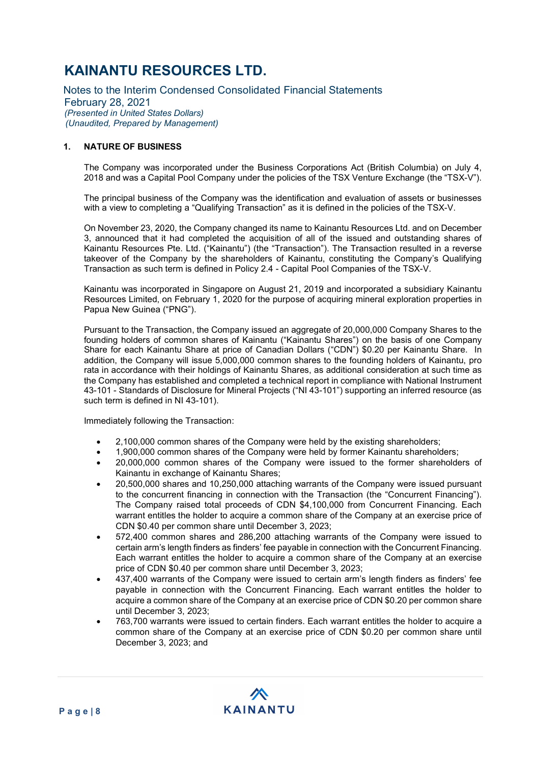Notes to the Interim Condensed Consolidated Financial Statements February 28, 2021 (Presented in United States Dollars) (Unaudited, Prepared by Management)

### 1. NATURE OF BUSINESS

The Company was incorporated under the Business Corporations Act (British Columbia) on July 4, 2018 and was a Capital Pool Company under the policies of the TSX Venture Exchange (the "TSX-V").

The principal business of the Company was the identification and evaluation of assets or businesses with a view to completing a "Qualifying Transaction" as it is defined in the policies of the TSX-V.

On November 23, 2020, the Company changed its name to Kainantu Resources Ltd. and on December 3, announced that it had completed the acquisition of all of the issued and outstanding shares of Kainantu Resources Pte. Ltd. ("Kainantu") (the "Transaction"). The Transaction resulted in a reverse takeover of the Company by the shareholders of Kainantu, constituting the Company's Qualifying Transaction as such term is defined in Policy 2.4 - Capital Pool Companies of the TSX-V.

Kainantu was incorporated in Singapore on August 21, 2019 and incorporated a subsidiary Kainantu Resources Limited, on February 1, 2020 for the purpose of acquiring mineral exploration properties in Papua New Guinea ("PNG").

Pursuant to the Transaction, the Company issued an aggregate of 20,000,000 Company Shares to the founding holders of common shares of Kainantu ("Kainantu Shares") on the basis of one Company Share for each Kainantu Share at price of Canadian Dollars ("CDN") \$0.20 per Kainantu Share. In addition, the Company will issue 5,000,000 common shares to the founding holders of Kainantu, pro rata in accordance with their holdings of Kainantu Shares, as additional consideration at such time as the Company has established and completed a technical report in compliance with National Instrument 43-101 - Standards of Disclosure for Mineral Projects ("NI 43-101") supporting an inferred resource (as such term is defined in NI 43-101).

Immediately following the Transaction:

- 2,100,000 common shares of the Company were held by the existing shareholders;
- 1,900,000 common shares of the Company were held by former Kainantu shareholders;
- 20,000,000 common shares of the Company were issued to the former shareholders of Kainantu in exchange of Kainantu Shares;
- 20,500,000 shares and 10,250,000 attaching warrants of the Company were issued pursuant to the concurrent financing in connection with the Transaction (the "Concurrent Financing"). The Company raised total proceeds of CDN \$4,100,000 from Concurrent Financing. Each warrant entitles the holder to acquire a common share of the Company at an exercise price of CDN \$0.40 per common share until December 3, 2023;
- 572,400 common shares and 286,200 attaching warrants of the Company were issued to certain arm's length finders as finders' fee payable in connection with the Concurrent Financing. Each warrant entitles the holder to acquire a common share of the Company at an exercise price of CDN \$0.40 per common share until December 3, 2023;
- 437,400 warrants of the Company were issued to certain arm's length finders as finders' fee payable in connection with the Concurrent Financing. Each warrant entitles the holder to acquire a common share of the Company at an exercise price of CDN \$0.20 per common share until December 3, 2023;
- 763,700 warrants were issued to certain finders. Each warrant entitles the holder to acquire a common share of the Company at an exercise price of CDN \$0.20 per common share until December 3, 2023; and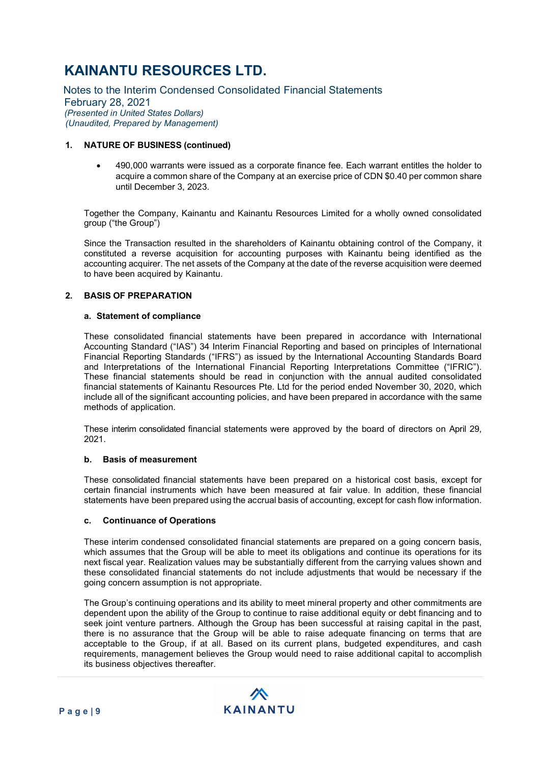Notes to the Interim Condensed Consolidated Financial Statements February 28, 2021 (Presented in United States Dollars) (Unaudited, Prepared by Management)

### 1. NATURE OF BUSINESS (continued)

 490,000 warrants were issued as a corporate finance fee. Each warrant entitles the holder to acquire a common share of the Company at an exercise price of CDN \$0.40 per common share until December 3, 2023.

Together the Company, Kainantu and Kainantu Resources Limited for a wholly owned consolidated group ("the Group")

Since the Transaction resulted in the shareholders of Kainantu obtaining control of the Company, it constituted a reverse acquisition for accounting purposes with Kainantu being identified as the accounting acquirer. The net assets of the Company at the date of the reverse acquisition were deemed to have been acquired by Kainantu.

### 2. BASIS OF PREPARATION

#### a. Statement of compliance

These consolidated financial statements have been prepared in accordance with International Accounting Standard ("IAS") 34 Interim Financial Reporting and based on principles of International Financial Reporting Standards ("IFRS") as issued by the International Accounting Standards Board and Interpretations of the International Financial Reporting Interpretations Committee ("IFRIC"). These financial statements should be read in conjunction with the annual audited consolidated financial statements of Kainantu Resources Pte. Ltd for the period ended November 30, 2020, which include all of the significant accounting policies, and have been prepared in accordance with the same methods of application.

These interim consolidated financial statements were approved by the board of directors on April 29, 2021.

#### b. Basis of measurement

These consolidated financial statements have been prepared on a historical cost basis, except for certain financial instruments which have been measured at fair value. In addition, these financial statements have been prepared using the accrual basis of accounting, except for cash flow information.

#### c. Continuance of Operations

These interim condensed consolidated financial statements are prepared on a going concern basis, which assumes that the Group will be able to meet its obligations and continue its operations for its next fiscal year. Realization values may be substantially different from the carrying values shown and these consolidated financial statements do not include adjustments that would be necessary if the going concern assumption is not appropriate.

The Group's continuing operations and its ability to meet mineral property and other commitments are dependent upon the ability of the Group to continue to raise additional equity or debt financing and to seek joint venture partners. Although the Group has been successful at raising capital in the past, there is no assurance that the Group will be able to raise adequate financing on terms that are acceptable to the Group, if at all. Based on its current plans, budgeted expenditures, and cash requirements, management believes the Group would need to raise additional capital to accomplish its business objectives thereafter.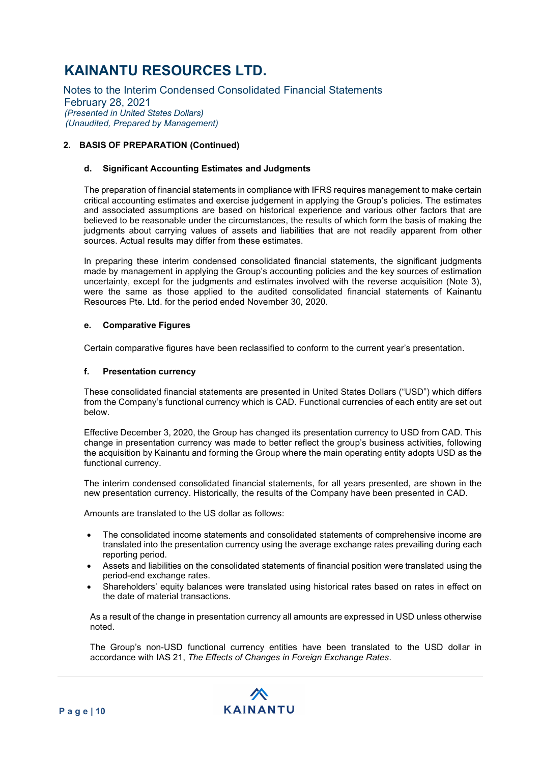Notes to the Interim Condensed Consolidated Financial Statements February 28, 2021 (Presented in United States Dollars) (Unaudited, Prepared by Management)

### 2. BASIS OF PREPARATION (Continued)

### d. Significant Accounting Estimates and Judgments

The preparation of financial statements in compliance with IFRS requires management to make certain critical accounting estimates and exercise judgement in applying the Group's policies. The estimates and associated assumptions are based on historical experience and various other factors that are believed to be reasonable under the circumstances, the results of which form the basis of making the judgments about carrying values of assets and liabilities that are not readily apparent from other sources. Actual results may differ from these estimates.

In preparing these interim condensed consolidated financial statements, the significant judgments made by management in applying the Group's accounting policies and the key sources of estimation uncertainty, except for the judgments and estimates involved with the reverse acquisition (Note 3), were the same as those applied to the audited consolidated financial statements of Kainantu Resources Pte. Ltd. for the period ended November 30, 2020.

#### e. Comparative Figures

Certain comparative figures have been reclassified to conform to the current year's presentation.

#### f. Presentation currency

These consolidated financial statements are presented in United States Dollars ("USD") which differs from the Company's functional currency which is CAD. Functional currencies of each entity are set out below.

Effective December 3, 2020, the Group has changed its presentation currency to USD from CAD. This change in presentation currency was made to better reflect the group's business activities, following the acquisition by Kainantu and forming the Group where the main operating entity adopts USD as the functional currency.

The interim condensed consolidated financial statements, for all years presented, are shown in the new presentation currency. Historically, the results of the Company have been presented in CAD.

Amounts are translated to the US dollar as follows:

- The consolidated income statements and consolidated statements of comprehensive income are translated into the presentation currency using the average exchange rates prevailing during each reporting period.
- Assets and liabilities on the consolidated statements of financial position were translated using the period-end exchange rates.
- Shareholders' equity balances were translated using historical rates based on rates in effect on the date of material transactions.

As a result of the change in presentation currency all amounts are expressed in USD unless otherwise noted.

The Group's non-USD functional currency entities have been translated to the USD dollar in accordance with IAS 21, The Effects of Changes in Foreign Exchange Rates.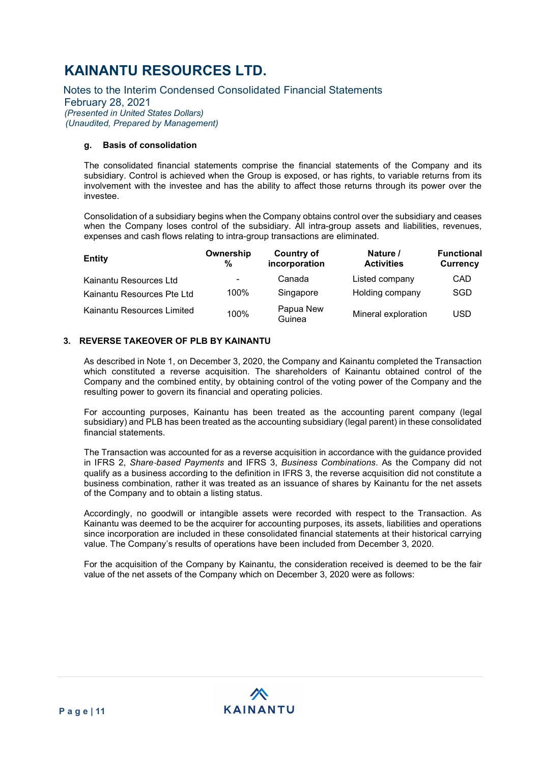Notes to the Interim Condensed Consolidated Financial Statements February 28, 2021 (Presented in United States Dollars) (Unaudited, Prepared by Management)

### g. Basis of consolidation

The consolidated financial statements comprise the financial statements of the Company and its subsidiary. Control is achieved when the Group is exposed, or has rights, to variable returns from its involvement with the investee and has the ability to affect those returns through its power over the investee.

Consolidation of a subsidiary begins when the Company obtains control over the subsidiary and ceases when the Company loses control of the subsidiary. All intra-group assets and liabilities, revenues, expenses and cash flows relating to intra-group transactions are eliminated.

| <b>Entity</b>              | Ownership<br>% | Country of<br>incorporation | Nature /<br><b>Activities</b> | <b>Functional</b><br><b>Currency</b> |
|----------------------------|----------------|-----------------------------|-------------------------------|--------------------------------------|
| Kainantu Resources Ltd     | ۰              | Canada                      | Listed company                | CAD                                  |
| Kainantu Resources Pte Ltd | 100%           | Singapore                   | Holding company               | SGD                                  |
| Kainantu Resources Limited | 100%           | Papua New<br>Guinea         | Mineral exploration           | <b>USD</b>                           |

### 3. REVERSE TAKEOVER OF PLB BY KAINANTU

As described in Note 1, on December 3, 2020, the Company and Kainantu completed the Transaction which constituted a reverse acquisition. The shareholders of Kainantu obtained control of the Company and the combined entity, by obtaining control of the voting power of the Company and the resulting power to govern its financial and operating policies.

For accounting purposes, Kainantu has been treated as the accounting parent company (legal subsidiary) and PLB has been treated as the accounting subsidiary (legal parent) in these consolidated financial statements.

The Transaction was accounted for as a reverse acquisition in accordance with the guidance provided in IFRS 2. Share-based Payments and IFRS 3. Business Combinations. As the Company did not qualify as a business according to the definition in IFRS 3, the reverse acquisition did not constitute a business combination, rather it was treated as an issuance of shares by Kainantu for the net assets of the Company and to obtain a listing status.

Accordingly, no goodwill or intangible assets were recorded with respect to the Transaction. As Kainantu was deemed to be the acquirer for accounting purposes, its assets, liabilities and operations since incorporation are included in these consolidated financial statements at their historical carrying value. The Company's results of operations have been included from December 3, 2020.

For the acquisition of the Company by Kainantu, the consideration received is deemed to be the fair value of the net assets of the Company which on December 3, 2020 were as follows: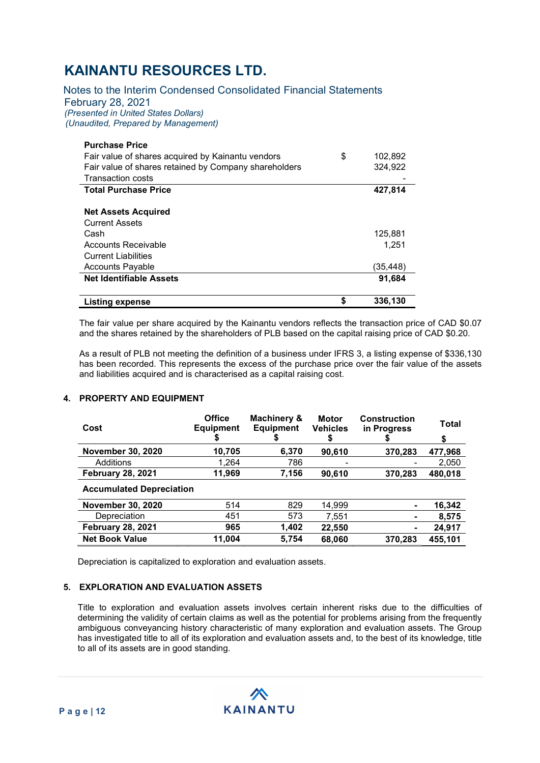Notes to the Interim Condensed Consolidated Financial Statements February 28, 2021 (Presented in United States Dollars) (Unaudited, Prepared by Management)

| <b>Purchase Price</b>                                 |               |
|-------------------------------------------------------|---------------|
| Fair value of shares acquired by Kainantu vendors     | \$<br>102,892 |
| Fair value of shares retained by Company shareholders | 324,922       |
| <b>Transaction costs</b>                              |               |
| <b>Total Purchase Price</b>                           | 427,814       |
|                                                       |               |
| <b>Net Assets Acquired</b>                            |               |
| <b>Current Assets</b>                                 |               |
| Cash                                                  | 125,881       |
| Accounts Receivable                                   | 1.251         |
| <b>Current Liabilities</b>                            |               |
| <b>Accounts Payable</b>                               | (35,448)      |
| <b>Net Identifiable Assets</b>                        | 91,684        |
| <b>Listing expense</b>                                | \$<br>336,130 |

The fair value per share acquired by the Kainantu vendors reflects the transaction price of CAD \$0.07 and the shares retained by the shareholders of PLB based on the capital raising price of CAD \$0.20.

As a result of PLB not meeting the definition of a business under IFRS 3, a listing expense of \$336,130 has been recorded. This represents the excess of the purchase price over the fair value of the assets and liabilities acquired and is characterised as a capital raising cost.

#### 4. PROPERTY AND EQUIPMENT

| Cost                            | <b>Office</b><br><b>Equipment</b> | Machinery &<br><b>Equipment</b><br>จ | <b>Motor</b><br><b>Vehicles</b><br>\$ | <b>Construction</b><br>in Progress | Total<br>\$ |
|---------------------------------|-----------------------------------|--------------------------------------|---------------------------------------|------------------------------------|-------------|
| <b>November 30, 2020</b>        | 10,705                            | 6,370                                | 90,610                                | 370,283                            | 477,968     |
| Additions                       | 1,264                             | 786                                  |                                       |                                    | 2,050       |
| <b>February 28, 2021</b>        | 11,969                            | 7,156                                | 90,610                                | 370,283                            | 480,018     |
| <b>Accumulated Depreciation</b> |                                   |                                      |                                       |                                    |             |
| <b>November 30, 2020</b>        | 514                               | 829                                  | 14.999                                |                                    | 16,342      |
| Depreciation                    | 451                               | 573                                  | 7,551                                 |                                    | 8,575       |
| <b>February 28, 2021</b>        | 965                               | 1,402                                | 22,550                                |                                    | 24,917      |
| <b>Net Book Value</b>           | 11,004                            | 5,754                                | 68,060                                | 370,283                            | 455,101     |

Depreciation is capitalized to exploration and evaluation assets.

### 5. EXPLORATION AND EVALUATION ASSETS

Title to exploration and evaluation assets involves certain inherent risks due to the difficulties of determining the validity of certain claims as well as the potential for problems arising from the frequently ambiguous conveyancing history characteristic of many exploration and evaluation assets. The Group has investigated title to all of its exploration and evaluation assets and, to the best of its knowledge, title to all of its assets are in good standing.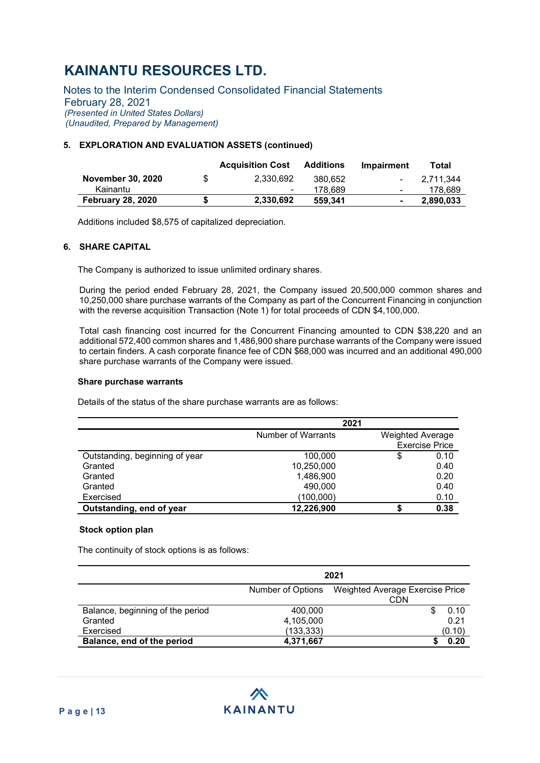Notes to the Interim Condensed Consolidated Financial Statements February 28, 2021 (Presented in United States Dollars) (Unaudited, Prepared by Management)

### 5. EXPLORATION AND EVALUATION ASSETS (continued)

|                          |   | <b>Acquisition Cost</b> | <b>Additions</b> | <b>Impairment</b>        | Total        |
|--------------------------|---|-------------------------|------------------|--------------------------|--------------|
| <b>November 30, 2020</b> | S | 2.330.692               | 380.652          |                          | $-2.711.344$ |
| Kainantu                 |   | ۰                       | 178.689          | $\overline{\phantom{a}}$ | 178,689      |
| <b>February 28, 2020</b> | S | 2.330.692               | 559.341          | $\blacksquare$           | 2.890.033    |

Additions included \$8,575 of capitalized depreciation.

#### 6. SHARE CAPITAL

The Company is authorized to issue unlimited ordinary shares.

During the period ended February 28, 2021, the Company issued 20,500,000 common shares and 10,250,000 share purchase warrants of the Company as part of the Concurrent Financing in conjunction with the reverse acquisition Transaction (Note 1) for total proceeds of CDN \$4,100,000.

Total cash financing cost incurred for the Concurrent Financing amounted to CDN \$38,220 and an additional 572,400 common shares and 1,486,900 share purchase warrants of the Company were issued to certain finders. A cash corporate finance fee of CDN \$68,000 was incurred and an additional 490,000 share purchase warrants of the Company were issued.

#### Share purchase warrants

Details of the status of the share purchase warrants are as follows:

|                                | 2021               |                         |                       |
|--------------------------------|--------------------|-------------------------|-----------------------|
|                                | Number of Warrants | <b>Weighted Average</b> | <b>Exercise Price</b> |
| Outstanding, beginning of year | 100,000            | \$                      | 0.10                  |
| Granted                        | 10,250,000         |                         | 0.40                  |
| Granted                        | 1,486,900          |                         | 0.20                  |
| Granted                        | 490,000            |                         | 0.40                  |
| Exercised                      | (100,000)          |                         | 0.10                  |
| Outstanding, end of year       | 12,226,900         |                         | 0.38                  |

### Stock option plan

The continuity of stock options is as follows:

|                                  | 2021                                                 |        |  |  |  |
|----------------------------------|------------------------------------------------------|--------|--|--|--|
|                                  | Weighted Average Exercise Price<br>Number of Options |        |  |  |  |
|                                  |                                                      | CDN    |  |  |  |
| Balance, beginning of the period | 400,000                                              | 0.10   |  |  |  |
| Granted                          | 4,105,000                                            | 0.21   |  |  |  |
| Exercised                        | (133, 333)                                           | (0.10) |  |  |  |
| Balance, end of the period       | 4,371,667                                            | 0.20   |  |  |  |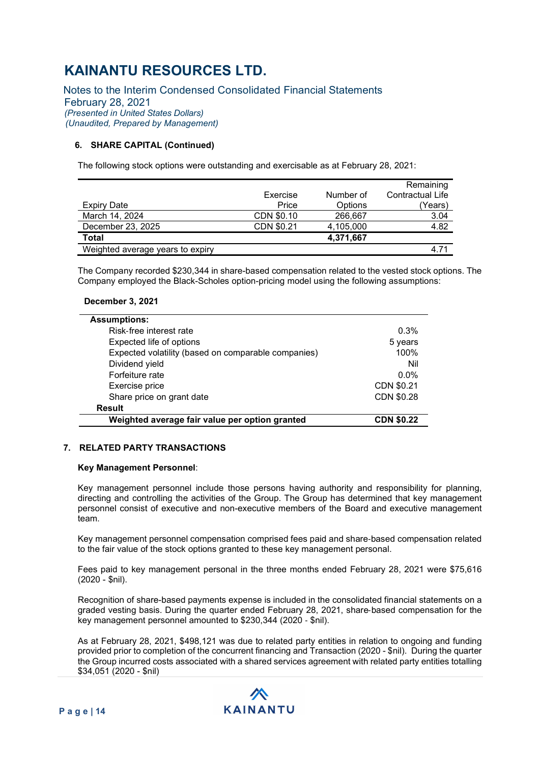Notes to the Interim Condensed Consolidated Financial Statements February 28, 2021 (Presented in United States Dollars) (Unaudited, Prepared by Management)

### 6. SHARE CAPITAL (Continued)

The following stock options were outstanding and exercisable as at February 28, 2021:

|                                  |            |           | Remaining        |
|----------------------------------|------------|-----------|------------------|
|                                  | Exercise   | Number of | Contractual Life |
| Expiry Date                      | Price      | Options   | (Years)          |
| March 14, 2024                   | CDN \$0.10 | 266,667   | 3.04             |
| December 23, 2025                | CDN \$0.21 | 4,105,000 | 4.82             |
| Total                            |            | 4,371,667 |                  |
| Weighted average years to expiry |            |           | 4.71             |

The Company recorded \$230,344 in share-based compensation related to the vested stock options. The Company employed the Black-Scholes option-pricing model using the following assumptions:

#### December 3, 2021

| <b>Assumptions:</b>                                 |                   |
|-----------------------------------------------------|-------------------|
| Risk-free interest rate                             | 0.3%              |
| Expected life of options                            | 5 years           |
| Expected volatility (based on comparable companies) | 100%              |
| Dividend yield                                      | Nil               |
| Forfeiture rate                                     | $0.0\%$           |
| Exercise price                                      | CDN \$0.21        |
| Share price on grant date                           | CDN \$0.28        |
| <b>Result</b>                                       |                   |
| Weighted average fair value per option granted      | <b>CDN \$0.22</b> |

#### 7. RELATED PARTY TRANSACTIONS

#### Key Management Personnel:

Key management personnel include those persons having authority and responsibility for planning, directing and controlling the activities of the Group. The Group has determined that key management personnel consist of executive and non-executive members of the Board and executive management team.

Key management personnel compensation comprised fees paid and share‐based compensation related to the fair value of the stock options granted to these key management personal.

Fees paid to key management personal in the three months ended February 28, 2021 were \$75,616 (2020 - \$nil).

Recognition of share-based payments expense is included in the consolidated financial statements on a graded vesting basis. During the quarter ended February 28, 2021, share‐based compensation for the key management personnel amounted to \$230,344 (2020 ‐ \$nil).

As at February 28, 2021, \$498,121 was due to related party entities in relation to ongoing and funding provided prior to completion of the concurrent financing and Transaction (2020 - \$nil). During the quarter the Group incurred costs associated with a shared services agreement with related party entities totalling \$34,051 (2020 - \$nil)